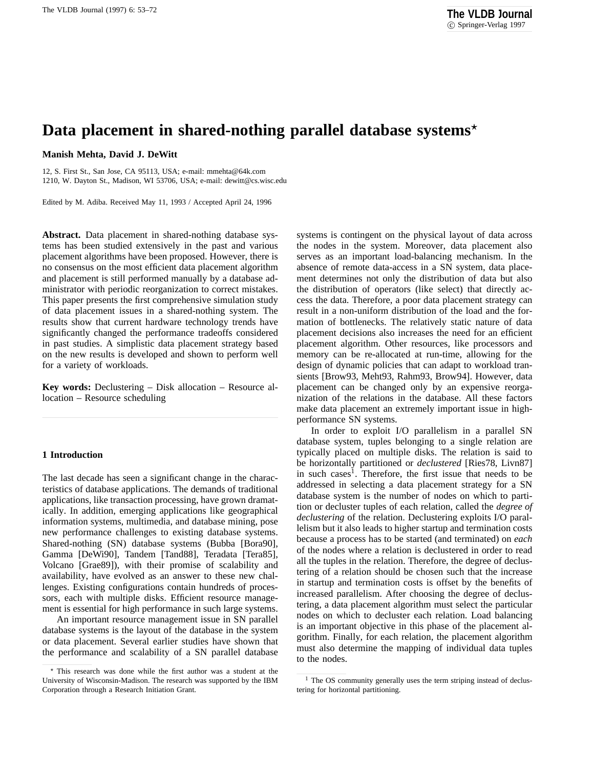# **Data placement in shared-nothing parallel database systems***?*

# **Manish Mehta, David J. DeWitt**

12, S. First St., San Jose, CA 95113, USA; e-mail: mmehta@64k.com 1210, W. Dayton St., Madison, WI 53706, USA; e-mail: dewitt@cs.wisc.edu

Edited by M. Adiba. Received May 11, 1993 / Accepted April 24, 1996

**Abstract.** Data placement in shared-nothing database systems has been studied extensively in the past and various placement algorithms have been proposed. However, there is no consensus on the most efficient data placement algorithm and placement is still performed manually by a database administrator with periodic reorganization to correct mistakes. This paper presents the first comprehensive simulation study of data placement issues in a shared-nothing system. The results show that current hardware technology trends have significantly changed the performance tradeoffs considered in past studies. A simplistic data placement strategy based on the new results is developed and shown to perform well for a variety of workloads.

**Key words:** Declustering – Disk allocation – Resource allocation – Resource scheduling

# **1 Introduction**

The last decade has seen a significant change in the characteristics of database applications. The demands of traditional applications, like transaction processing, have grown dramatically. In addition, emerging applications like geographical information systems, multimedia, and database mining, pose new performance challenges to existing database systems. Shared-nothing (SN) database systems (Bubba [Bora90], Gamma [DeWi90], Tandem [Tand88], Teradata [Tera85], Volcano [Grae89]), with their promise of scalability and availability, have evolved as an answer to these new challenges. Existing configurations contain hundreds of processors, each with multiple disks. Efficient resource management is essential for high performance in such large systems.

An important resource management issue in SN parallel database systems is the layout of the database in the system or data placement. Several earlier studies have shown that the performance and scalability of a SN parallel database

systems is contingent on the physical layout of data across the nodes in the system. Moreover, data placement also serves as an important load-balancing mechanism. In the absence of remote data-access in a SN system, data placement determines not only the distribution of data but also the distribution of operators (like select) that directly access the data. Therefore, a poor data placement strategy can result in a non-uniform distribution of the load and the formation of bottlenecks. The relatively static nature of data placement decisions also increases the need for an efficient placement algorithm. Other resources, like processors and memory can be re-allocated at run-time, allowing for the design of dynamic policies that can adapt to workload transients [Brow93, Meht93, Rahm93, Brow94]. However, data placement can be changed only by an expensive reorganization of the relations in the database. All these factors make data placement an extremely important issue in highperformance SN systems.

In order to exploit I/O parallelism in a parallel SN database system, tuples belonging to a single relation are typically placed on multiple disks. The relation is said to be horizontally partitioned or *declustered* [Ries78, Livn87] in such cases<sup>1</sup>. Therefore, the first issue that needs to be addressed in selecting a data placement strategy for a SN database system is the number of nodes on which to partition or decluster tuples of each relation, called the *degree of declustering* of the relation. Declustering exploits I/O parallelism but it also leads to higher startup and termination costs because a process has to be started (and terminated) on *each* of the nodes where a relation is declustered in order to read all the tuples in the relation. Therefore, the degree of declustering of a relation should be chosen such that the increase in startup and termination costs is offset by the benefits of increased parallelism. After choosing the degree of declustering, a data placement algorithm must select the particular nodes on which to decluster each relation. Load balancing is an important objective in this phase of the placement algorithm. Finally, for each relation, the placement algorithm must also determine the mapping of individual data tuples to the nodes.

*<sup>?</sup>* This research was done while the first author was a student at the University of Wisconsin-Madison. The research was supported by the IBM Corporation through a Research Initiation Grant.

The OS community generally uses the term striping instead of declustering for horizontal partitioning.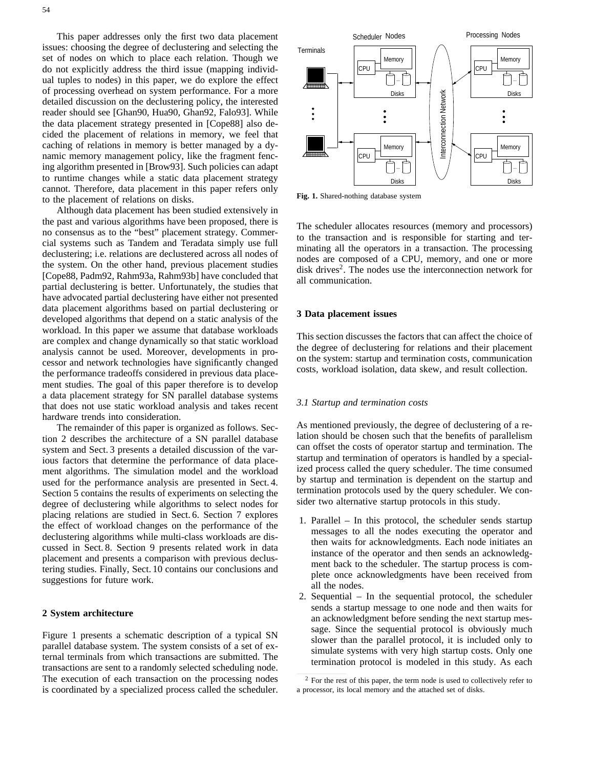This paper addresses only the first two data placement issues: choosing the degree of declustering and selecting the set of nodes on which to place each relation. Though we do not explicitly address the third issue (mapping individual tuples to nodes) in this paper, we do explore the effect of processing overhead on system performance. For a more detailed discussion on the declustering policy, the interested reader should see [Ghan90, Hua90, Ghan92, Falo93]. While the data placement strategy presented in [Cope88] also decided the placement of relations in memory, we feel that caching of relations in memory is better managed by a dynamic memory management policy, like the fragment fencing algorithm presented in [Brow93]. Such policies can adapt to runtime changes while a static data placement strategy cannot. Therefore, data placement in this paper refers only to the placement of relations on disks.

Although data placement has been studied extensively in the past and various algorithms have been proposed, there is no consensus as to the "best" placement strategy. Commercial systems such as Tandem and Teradata simply use full declustering; i.e. relations are declustered across all nodes of the system. On the other hand, previous placement studies [Cope88, Padm92, Rahm93a, Rahm93b] have concluded that partial declustering is better. Unfortunately, the studies that have advocated partial declustering have either not presented data placement algorithms based on partial declustering or developed algorithms that depend on a static analysis of the workload. In this paper we assume that database workloads are complex and change dynamically so that static workload analysis cannot be used. Moreover, developments in processor and network technologies have significantly changed the performance tradeoffs considered in previous data placement studies. The goal of this paper therefore is to develop a data placement strategy for SN parallel database systems that does not use static workload analysis and takes recent hardware trends into consideration.

The remainder of this paper is organized as follows. Section 2 describes the architecture of a SN parallel database system and Sect. 3 presents a detailed discussion of the various factors that determine the performance of data placement algorithms. The simulation model and the workload used for the performance analysis are presented in Sect. 4. Section 5 contains the results of experiments on selecting the degree of declustering while algorithms to select nodes for placing relations are studied in Sect. 6. Section 7 explores the effect of workload changes on the performance of the declustering algorithms while multi-class workloads are discussed in Sect. 8. Section 9 presents related work in data placement and presents a comparison with previous declustering studies. Finally, Sect. 10 contains our conclusions and suggestions for future work.

# **2 System architecture**

Figure 1 presents a schematic description of a typical SN parallel database system. The system consists of a set of external terminals from which transactions are submitted. The transactions are sent to a randomly selected scheduling node. The execution of each transaction on the processing nodes is coordinated by a specialized process called the scheduler.



**Fig. 1.** Shared-nothing database system

The scheduler allocates resources (memory and processors) to the transaction and is responsible for starting and terminating all the operators in a transaction. The processing nodes are composed of a CPU, memory, and one or more disk drives<sup>2</sup>. The nodes use the interconnection network for all communication.

### **3 Data placement issues**

This section discusses the factors that can affect the choice of the degree of declustering for relations and their placement on the system: startup and termination costs, communication costs, workload isolation, data skew, and result collection.

### *3.1 Startup and termination costs*

As mentioned previously, the degree of declustering of a relation should be chosen such that the benefits of parallelism can offset the costs of operator startup and termination. The startup and termination of operators is handled by a specialized process called the query scheduler. The time consumed by startup and termination is dependent on the startup and termination protocols used by the query scheduler. We consider two alternative startup protocols in this study.

- 1. Parallel In this protocol, the scheduler sends startup messages to all the nodes executing the operator and then waits for acknowledgments. Each node initiates an instance of the operator and then sends an acknowledgment back to the scheduler. The startup process is complete once acknowledgments have been received from all the nodes.
- 2. Sequential In the sequential protocol, the scheduler sends a startup message to one node and then waits for an acknowledgment before sending the next startup message. Since the sequential protocol is obviously much slower than the parallel protocol, it is included only to simulate systems with very high startup costs. Only one termination protocol is modeled in this study. As each

<sup>2</sup> For the rest of this paper, the term node is used to collectively refer to a processor, its local memory and the attached set of disks.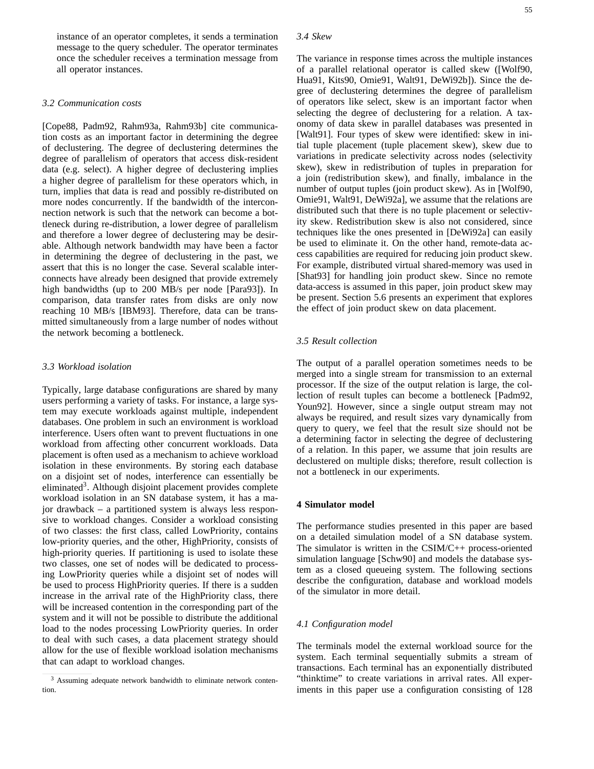instance of an operator completes, it sends a termination message to the query scheduler. The operator terminates once the scheduler receives a termination message from all operator instances.

# *3.2 Communication costs*

[Cope88, Padm92, Rahm93a, Rahm93b] cite communication costs as an important factor in determining the degree of declustering. The degree of declustering determines the degree of parallelism of operators that access disk-resident data (e.g. select). A higher degree of declustering implies a higher degree of parallelism for these operators which, in turn, implies that data is read and possibly re-distributed on more nodes concurrently. If the bandwidth of the interconnection network is such that the network can become a bottleneck during re-distribution, a lower degree of parallelism and therefore a lower degree of declustering may be desirable. Although network bandwidth may have been a factor in determining the degree of declustering in the past, we assert that this is no longer the case. Several scalable interconnects have already been designed that provide extremely high bandwidths (up to 200 MB/s per node [Para93]). In comparison, data transfer rates from disks are only now reaching 10 MB/s [IBM93]. Therefore, data can be transmitted simultaneously from a large number of nodes without the network becoming a bottleneck.

# *3.3 Workload isolation*

Typically, large database configurations are shared by many users performing a variety of tasks. For instance, a large system may execute workloads against multiple, independent databases. One problem in such an environment is workload interference. Users often want to prevent fluctuations in one workload from affecting other concurrent workloads. Data placement is often used as a mechanism to achieve workload isolation in these environments. By storing each database on a disjoint set of nodes, interference can essentially be eliminated<sup>3</sup>. Although disjoint placement provides complete workload isolation in an SN database system, it has a major drawback – a partitioned system is always less responsive to workload changes. Consider a workload consisting of two classes: the first class, called LowPriority, contains low-priority queries, and the other, HighPriority, consists of high-priority queries. If partitioning is used to isolate these two classes, one set of nodes will be dedicated to processing LowPriority queries while a disjoint set of nodes will be used to process HighPriority queries. If there is a sudden increase in the arrival rate of the HighPriority class, there will be increased contention in the corresponding part of the system and it will not be possible to distribute the additional load to the nodes processing LowPriority queries. In order to deal with such cases, a data placement strategy should allow for the use of flexible workload isolation mechanisms that can adapt to workload changes.

55

The variance in response times across the multiple instances of a parallel relational operator is called skew ([Wolf90, Hua91, Kits90, Omie91, Walt91, DeWi92b]). Since the degree of declustering determines the degree of parallelism of operators like select, skew is an important factor when selecting the degree of declustering for a relation. A taxonomy of data skew in parallel databases was presented in [Walt91]. Four types of skew were identified: skew in initial tuple placement (tuple placement skew), skew due to variations in predicate selectivity across nodes (selectivity skew), skew in redistribution of tuples in preparation for a join (redistribution skew), and finally, imbalance in the number of output tuples (join product skew). As in [Wolf90, Omie91, Walt91, DeWi92a], we assume that the relations are distributed such that there is no tuple placement or selectivity skew. Redistribution skew is also not considered, since techniques like the ones presented in [DeWi92a] can easily be used to eliminate it. On the other hand, remote-data access capabilities are required for reducing join product skew. For example, distributed virtual shared-memory was used in [Shat93] for handling join product skew. Since no remote data-access is assumed in this paper, join product skew may be present. Section 5.6 presents an experiment that explores the effect of join product skew on data placement.

# *3.5 Result collection*

The output of a parallel operation sometimes needs to be merged into a single stream for transmission to an external processor. If the size of the output relation is large, the collection of result tuples can become a bottleneck [Padm92, Youn92]. However, since a single output stream may not always be required, and result sizes vary dynamically from query to query, we feel that the result size should not be a determining factor in selecting the degree of declustering of a relation. In this paper, we assume that join results are declustered on multiple disks; therefore, result collection is not a bottleneck in our experiments.

### **4 Simulator model**

The performance studies presented in this paper are based on a detailed simulation model of a SN database system. The simulator is written in the CSIM/C++ process-oriented simulation language [Schw90] and models the database system as a closed queueing system. The following sections describe the configuration, database and workload models of the simulator in more detail.

# *4.1 Configuration model*

The terminals model the external workload source for the system. Each terminal sequentially submits a stream of transactions. Each terminal has an exponentially distributed "thinktime" to create variations in arrival rates. All experiments in this paper use a configuration consisting of 128

<sup>&</sup>lt;sup>3</sup> Assuming adequate network bandwidth to eliminate network contention.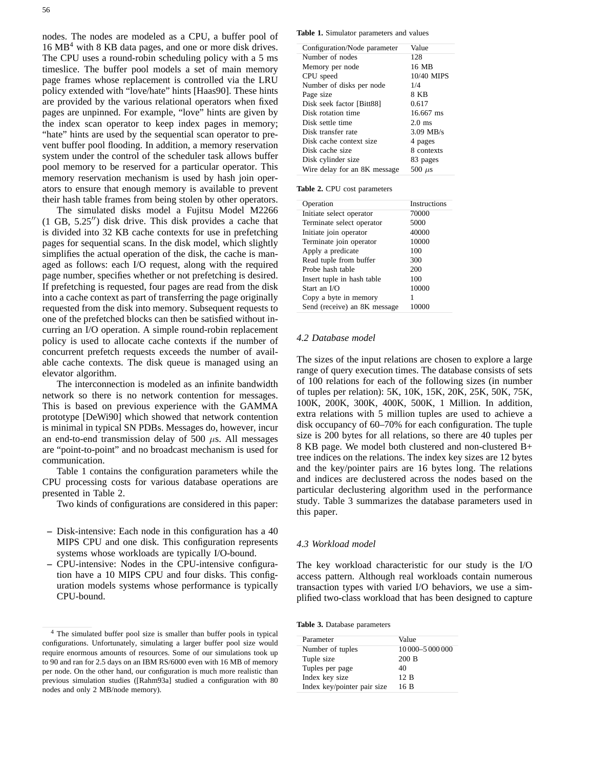56

nodes. The nodes are modeled as a CPU, a buffer pool of 16 MB4 with 8 KB data pages, and one or more disk drives. The CPU uses a round-robin scheduling policy with a 5 ms timeslice. The buffer pool models a set of main memory page frames whose replacement is controlled via the LRU policy extended with "love/hate" hints [Haas90]. These hints are provided by the various relational operators when fixed pages are unpinned. For example, "love" hints are given by the index scan operator to keep index pages in memory; "hate" hints are used by the sequential scan operator to prevent buffer pool flooding. In addition, a memory reservation system under the control of the scheduler task allows buffer pool memory to be reserved for a particular operator. This memory reservation mechanism is used by hash join operators to ensure that enough memory is available to prevent their hash table frames from being stolen by other operators.

The simulated disks model a Fujitsu Model M2266  $(1 \text{ GB}, 5.25'')$  disk drive. This disk provides a cache that is divided into 32 KB cache contexts for use in prefetching pages for sequential scans. In the disk model, which slightly simplifies the actual operation of the disk, the cache is managed as follows: each I/O request, along with the required page number, specifies whether or not prefetching is desired. If prefetching is requested, four pages are read from the disk into a cache context as part of transferring the page originally requested from the disk into memory. Subsequent requests to one of the prefetched blocks can then be satisfied without incurring an I/O operation. A simple round-robin replacement policy is used to allocate cache contexts if the number of concurrent prefetch requests exceeds the number of available cache contexts. The disk queue is managed using an elevator algorithm.

The interconnection is modeled as an infinite bandwidth network so there is no network contention for messages. This is based on previous experience with the GAMMA prototype [DeWi90] which showed that network contention is minimal in typical SN PDBs. Messages do, however, incur an end-to-end transmission delay of 500 *µ*s. All messages are "point-to-point" and no broadcast mechanism is used for communication.

Table 1 contains the configuration parameters while the CPU processing costs for various database operations are presented in Table 2.

Two kinds of configurations are considered in this paper:

- **–** Disk-intensive: Each node in this configuration has a 40 MIPS CPU and one disk. This configuration represents systems whose workloads are typically I/O-bound.
- **–** CPU-intensive: Nodes in the CPU-intensive configuration have a 10 MIPS CPU and four disks. This configuration models systems whose performance is typically CPU-bound.

**Table 1.** Simulator parameters and values

| Configuration/Node parameter | Value            |
|------------------------------|------------------|
| Number of nodes              | 128              |
| Memory per node              | 16 MB            |
| CPU speed                    | 10/40 MIPS       |
| Number of disks per node     | 1/4              |
| Page size                    | 8 KB             |
| Disk seek factor [Bitt88]    | 0.617            |
| Disk rotation time           | 16.667 ms        |
| Disk settle time             | $2.0 \text{ ms}$ |
| Disk transfer rate           | $3.09$ MB/s      |
| Disk cache context size      | 4 pages          |
| Disk cache size              | 8 contexts       |
| Disk cylinder size           | 83 pages         |
| Wire delay for an 8K message | 500 $\mu$ s      |

**Table 2.** CPU cost parameters

| Operation                    | Instructions |
|------------------------------|--------------|
| Initiate select operator     | 70000        |
| Terminate select operator    | 5000         |
| Initiate join operator       | 40000        |
| Terminate join operator      | 10000        |
| Apply a predicate            | 100          |
| Read tuple from buffer       | 300          |
| Probe hash table             | 200          |
| Insert tuple in hash table   | 100          |
| Start an $I/O$               | 10000        |
| Copy a byte in memory        |              |
| Send (receive) an 8K message | 10000        |

### *4.2 Database model*

The sizes of the input relations are chosen to explore a large range of query execution times. The database consists of sets of 100 relations for each of the following sizes (in number of tuples per relation): 5K, 10K, 15K, 20K, 25K, 50K, 75K, 100K, 200K, 300K, 400K, 500K, 1 Million. In addition, extra relations with 5 million tuples are used to achieve a disk occupancy of 60–70% for each configuration. The tuple size is 200 bytes for all relations, so there are 40 tuples per 8 KB page. We model both clustered and non-clustered B+ tree indices on the relations. The index key sizes are 12 bytes and the key/pointer pairs are 16 bytes long. The relations and indices are declustered across the nodes based on the particular declustering algorithm used in the performance study. Table 3 summarizes the database parameters used in this paper.

# *4.3 Workload model*

The key workload characteristic for our study is the I/O access pattern. Although real workloads contain numerous transaction types with varied I/O behaviors, we use a simplified two-class workload that has been designed to capture

**Table 3.** Database parameters

| Parameter                   | Value            |
|-----------------------------|------------------|
| Number of tuples            | 10 000-5 000 000 |
| Tuple size                  | 200B             |
| Tuples per page             | 40               |
| Index key size              | 12 B             |
| Index key/pointer pair size | 16 B             |

<sup>4</sup> The simulated buffer pool size is smaller than buffer pools in typical configurations. Unfortunately, simulating a larger buffer pool size would require enormous amounts of resources. Some of our simulations took up to 90 and ran for 2.5 days on an IBM RS/6000 even with 16 MB of memory per node. On the other hand, our configuration is much more realistic than previous simulation studies ([Rahm93a] studied a configuration with 80 nodes and only 2 MB/node memory).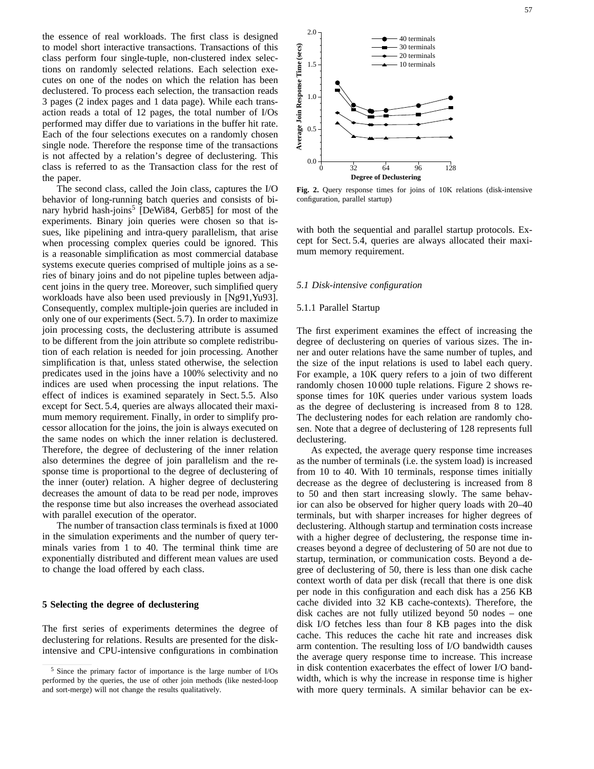the essence of real workloads. The first class is designed to model short interactive transactions. Transactions of this class perform four single-tuple, non-clustered index selections on randomly selected relations. Each selection executes on one of the nodes on which the relation has been declustered. To process each selection, the transaction reads 3 pages (2 index pages and 1 data page). While each transaction reads a total of 12 pages, the total number of I/Os performed may differ due to variations in the buffer hit rate. Each of the four selections executes on a randomly chosen single node. Therefore the response time of the transactions is not affected by a relation's degree of declustering. This class is referred to as the Transaction class for the rest of the paper.

The second class, called the Join class, captures the I/O behavior of long-running batch queries and consists of binary hybrid hash-joins<sup>5</sup> [DeWi84, Gerb85] for most of the experiments. Binary join queries were chosen so that issues, like pipelining and intra-query parallelism, that arise when processing complex queries could be ignored. This is a reasonable simplification as most commercial database systems execute queries comprised of multiple joins as a series of binary joins and do not pipeline tuples between adjacent joins in the query tree. Moreover, such simplified query workloads have also been used previously in [Ng91,Yu93]. Consequently, complex multiple-join queries are included in only one of our experiments (Sect. 5.7). In order to maximize join processing costs, the declustering attribute is assumed to be different from the join attribute so complete redistribution of each relation is needed for join processing. Another simplification is that, unless stated otherwise, the selection predicates used in the joins have a 100% selectivity and no indices are used when processing the input relations. The effect of indices is examined separately in Sect. 5.5. Also except for Sect. 5.4, queries are always allocated their maximum memory requirement. Finally, in order to simplify processor allocation for the joins, the join is always executed on the same nodes on which the inner relation is declustered. Therefore, the degree of declustering of the inner relation also determines the degree of join parallelism and the response time is proportional to the degree of declustering of the inner (outer) relation. A higher degree of declustering decreases the amount of data to be read per node, improves the response time but also increases the overhead associated with parallel execution of the operator.

The number of transaction class terminals is fixed at 1000 in the simulation experiments and the number of query terminals varies from 1 to 40. The terminal think time are exponentially distributed and different mean values are used to change the load offered by each class.

### **5 Selecting the degree of declustering**

The first series of experiments determines the degree of declustering for relations. Results are presented for the diskintensive and CPU-intensive configurations in combination



**Fig. 2.** Query response times for joins of 10K relations (disk-intensive configuration, parallel startup)

with both the sequential and parallel startup protocols. Except for Sect. 5.4, queries are always allocated their maximum memory requirement.

### *5.1 Disk-intensive configuration*

# 5.1.1 Parallel Startup

The first experiment examines the effect of increasing the degree of declustering on queries of various sizes. The inner and outer relations have the same number of tuples, and the size of the input relations is used to label each query. For example, a 10K query refers to a join of two different randomly chosen 10 000 tuple relations. Figure 2 shows response times for 10K queries under various system loads as the degree of declustering is increased from 8 to 128. The declustering nodes for each relation are randomly chosen. Note that a degree of declustering of 128 represents full declustering.

As expected, the average query response time increases as the number of terminals (i.e. the system load) is increased from 10 to 40. With 10 terminals, response times initially decrease as the degree of declustering is increased from 8 to 50 and then start increasing slowly. The same behavior can also be observed for higher query loads with 20–40 terminals, but with sharper increases for higher degrees of declustering. Although startup and termination costs increase with a higher degree of declustering, the response time increases beyond a degree of declustering of 50 are not due to startup, termination, or communication costs. Beyond a degree of declustering of 50, there is less than one disk cache context worth of data per disk (recall that there is one disk per node in this configuration and each disk has a 256 KB cache divided into 32 KB cache-contexts). Therefore, the disk caches are not fully utilized beyond 50 nodes – one disk I/O fetches less than four 8 KB pages into the disk cache. This reduces the cache hit rate and increases disk arm contention. The resulting loss of I/O bandwidth causes the average query response time to increase. This increase in disk contention exacerbates the effect of lower I/O bandwidth, which is why the increase in response time is higher with more query terminals. A similar behavior can be ex-

<sup>5</sup> Since the primary factor of importance is the large number of I/Os performed by the queries, the use of other join methods (like nested-loop and sort-merge) will not change the results qualitatively.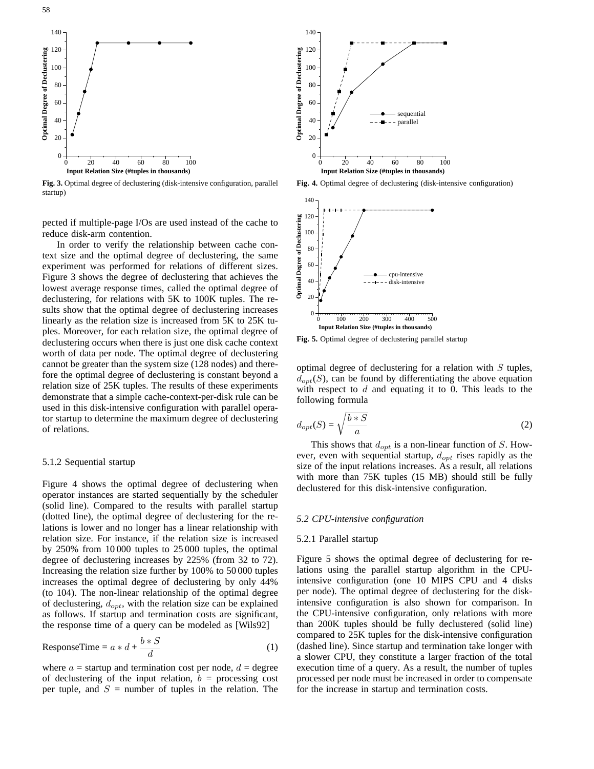

**Fig. 3.** Optimal degree of declustering (disk-intensive configuration, parallel startup)

pected if multiple-page I/Os are used instead of the cache to reduce disk-arm contention.

In order to verify the relationship between cache context size and the optimal degree of declustering, the same experiment was performed for relations of different sizes. Figure 3 shows the degree of declustering that achieves the lowest average response times, called the optimal degree of declustering, for relations with 5K to 100K tuples. The results show that the optimal degree of declustering increases linearly as the relation size is increased from 5K to 25K tuples. Moreover, for each relation size, the optimal degree of declustering occurs when there is just one disk cache context worth of data per node. The optimal degree of declustering cannot be greater than the system size (128 nodes) and therefore the optimal degree of declustering is constant beyond a relation size of 25K tuples. The results of these experiments demonstrate that a simple cache-context-per-disk rule can be used in this disk-intensive configuration with parallel operator startup to determine the maximum degree of declustering of relations.

### 5.1.2 Sequential startup

Figure 4 shows the optimal degree of declustering when operator instances are started sequentially by the scheduler (solid line). Compared to the results with parallel startup (dotted line), the optimal degree of declustering for the relations is lower and no longer has a linear relationship with relation size. For instance, if the relation size is increased by 250% from 10 000 tuples to 25 000 tuples, the optimal degree of declustering increases by 225% (from 32 to 72). Increasing the relation size further by 100% to 50 000 tuples increases the optimal degree of declustering by only 44% (to 104). The non-linear relationship of the optimal degree of declustering, *dopt*, with the relation size can be explained as follows. If startup and termination costs are significant, the response time of a query can be modeled as [Wils92]

ResponseTime = 
$$
a * d + \frac{b * S}{d}
$$
 (1)

where  $a =$  startup and termination cost per node,  $d =$  degree of declustering of the input relation,  $b =$  processing cost per tuple, and  $S =$  number of tuples in the relation. The



**Fig. 4.** Optimal degree of declustering (disk-intensive configuration)



**Fig. 5.** Optimal degree of declustering parallel startup

optimal degree of declustering for a relation with *S* tuples,  $d_{opt}(S)$ , can be found by differentiating the above equation with respect to *d* and equating it to 0. This leads to the following formula

$$
d_{opt}(S) = \sqrt{\frac{b*S}{a}}\tag{2}
$$

This shows that *dopt* is a non-linear function of *S*. However, even with sequential startup, *dopt* rises rapidly as the size of the input relations increases. As a result, all relations with more than 75K tuples (15 MB) should still be fully declustered for this disk-intensive configuration.

### *5.2 CPU-intensive configuration*

## 5.2.1 Parallel startup

Figure 5 shows the optimal degree of declustering for relations using the parallel startup algorithm in the CPUintensive configuration (one 10 MIPS CPU and 4 disks per node). The optimal degree of declustering for the diskintensive configuration is also shown for comparison. In the CPU-intensive configuration, only relations with more than 200K tuples should be fully declustered (solid line) compared to 25K tuples for the disk-intensive configuration (dashed line). Since startup and termination take longer with a slower CPU, they constitute a larger fraction of the total execution time of a query. As a result, the number of tuples processed per node must be increased in order to compensate for the increase in startup and termination costs.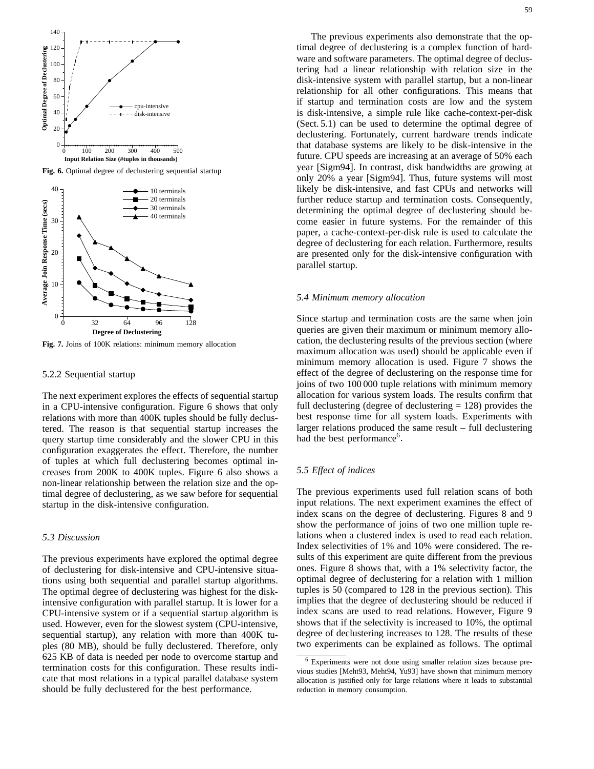

**Fig. 6.** Optimal degree of declustering sequential startup



**Fig. 7.** Joins of 100K relations: minimum memory allocation

# 5.2.2 Sequential startup

The next experiment explores the effects of sequential startup in a CPU-intensive configuration. Figure 6 shows that only relations with more than 400K tuples should be fully declustered. The reason is that sequential startup increases the query startup time considerably and the slower CPU in this configuration exaggerates the effect. Therefore, the number of tuples at which full declustering becomes optimal increases from 200K to 400K tuples. Figure 6 also shows a non-linear relationship between the relation size and the optimal degree of declustering, as we saw before for sequential startup in the disk-intensive configuration.

### *5.3 Discussion*

The previous experiments have explored the optimal degree of declustering for disk-intensive and CPU-intensive situations using both sequential and parallel startup algorithms. The optimal degree of declustering was highest for the diskintensive configuration with parallel startup. It is lower for a CPU-intensive system or if a sequential startup algorithm is used. However, even for the slowest system (CPU-intensive, sequential startup), any relation with more than 400K tuples (80 MB), should be fully declustered. Therefore, only 625 KB of data is needed per node to overcome startup and termination costs for this configuration. These results indicate that most relations in a typical parallel database system should be fully declustered for the best performance.

The previous experiments also demonstrate that the optimal degree of declustering is a complex function of hardware and software parameters. The optimal degree of declustering had a linear relationship with relation size in the disk-intensive system with parallel startup, but a non-linear relationship for all other configurations. This means that if startup and termination costs are low and the system is disk-intensive, a simple rule like cache-context-per-disk (Sect. 5.1) can be used to determine the optimal degree of declustering. Fortunately, current hardware trends indicate that database systems are likely to be disk-intensive in the future. CPU speeds are increasing at an average of 50% each year [Sigm94]. In contrast, disk bandwidths are growing at only 20% a year [Sigm94]. Thus, future systems will most likely be disk-intensive, and fast CPUs and networks will further reduce startup and termination costs. Consequently, determining the optimal degree of declustering should become easier in future systems. For the remainder of this paper, a cache-context-per-disk rule is used to calculate the degree of declustering for each relation. Furthermore, results are presented only for the disk-intensive configuration with parallel startup.

# *5.4 Minimum memory allocation*

Since startup and termination costs are the same when join queries are given their maximum or minimum memory allocation, the declustering results of the previous section (where maximum allocation was used) should be applicable even if minimum memory allocation is used. Figure 7 shows the effect of the degree of declustering on the response time for joins of two 100 000 tuple relations with minimum memory allocation for various system loads. The results confirm that full declustering (degree of declustering  $= 128$ ) provides the best response time for all system loads. Experiments with larger relations produced the same result – full declustering had the best performance<sup>6</sup>.

# *5.5 Effect of indices*

The previous experiments used full relation scans of both input relations. The next experiment examines the effect of index scans on the degree of declustering. Figures 8 and 9 show the performance of joins of two one million tuple relations when a clustered index is used to read each relation. Index selectivities of 1% and 10% were considered. The results of this experiment are quite different from the previous ones. Figure 8 shows that, with a 1% selectivity factor, the optimal degree of declustering for a relation with 1 million tuples is 50 (compared to 128 in the previous section). This implies that the degree of declustering should be reduced if index scans are used to read relations. However, Figure 9 shows that if the selectivity is increased to 10%, the optimal degree of declustering increases to 128. The results of these two experiments can be explained as follows. The optimal

<sup>6</sup> Experiments were not done using smaller relation sizes because previous studies [Meht93, Meht94, Yu93] have shown that minimum memory allocation is justified only for large relations where it leads to substantial reduction in memory consumption.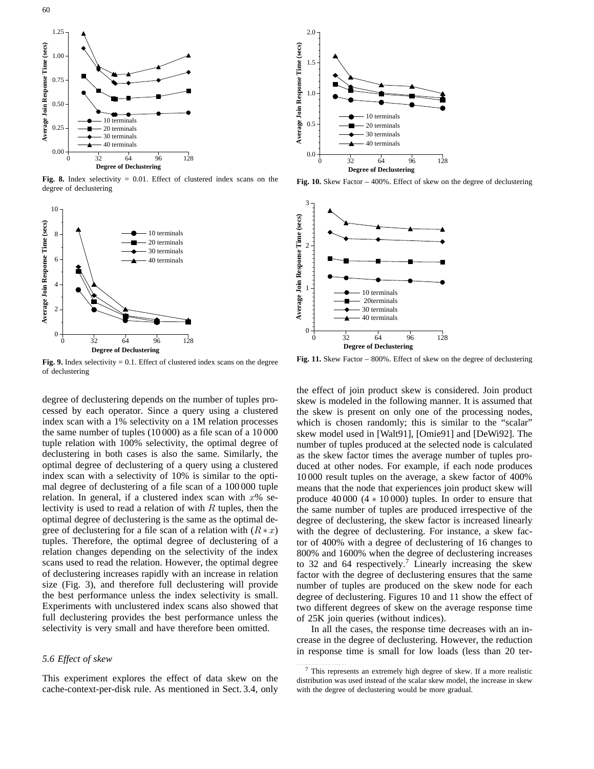

**Fig. 8.** Index selectivity  $= 0.01$ . Effect of clustered index scans on the degree of declustering



**Fig. 9.** Index selectivity  $= 0.1$ . Effect of clustered index scans on the degree of declustering

degree of declustering depends on the number of tuples processed by each operator. Since a query using a clustered index scan with a 1% selectivity on a 1M relation processes the same number of tuples (10 000) as a file scan of a 10 000 tuple relation with 100% selectivity, the optimal degree of declustering in both cases is also the same. Similarly, the optimal degree of declustering of a query using a clustered index scan with a selectivity of 10% is similar to the optimal degree of declustering of a file scan of a 100 000 tuple relation. In general, if a clustered index scan with *x*% selectivity is used to read a relation of with *R* tuples, then the optimal degree of declustering is the same as the optimal degree of declustering for a file scan of a relation with  $(R * x)$ tuples. Therefore, the optimal degree of declustering of a relation changes depending on the selectivity of the index scans used to read the relation. However, the optimal degree of declustering increases rapidly with an increase in relation size (Fig. 3), and therefore full declustering will provide the best performance unless the index selectivity is small. Experiments with unclustered index scans also showed that full declustering provides the best performance unless the selectivity is very small and have therefore been omitted.

# *5.6 Effect of skew*

This experiment explores the effect of data skew on the cache-context-per-disk rule. As mentioned in Sect. 3.4, only



Fig. 10. Skew Factor – 400%. Effect of skew on the degree of declustering



Fig. 11. Skew Factor – 800%. Effect of skew on the degree of declustering

the effect of join product skew is considered. Join product skew is modeled in the following manner. It is assumed that the skew is present on only one of the processing nodes, which is chosen randomly; this is similar to the "scalar" skew model used in [Walt91], [Omie91] and [DeWi92]. The number of tuples produced at the selected node is calculated as the skew factor times the average number of tuples produced at other nodes. For example, if each node produces 10 000 result tuples on the average, a skew factor of 400% means that the node that experiences join product skew will produce 40 000 (4 *∗* 10 000) tuples. In order to ensure that the same number of tuples are produced irrespective of the degree of declustering, the skew factor is increased linearly with the degree of declustering. For instance, a skew factor of 400% with a degree of declustering of 16 changes to 800% and 1600% when the degree of declustering increases to 32 and 64 respectively.<sup>7</sup> Linearly increasing the skew factor with the degree of declustering ensures that the same number of tuples are produced on the skew node for each degree of declustering. Figures 10 and 11 show the effect of two different degrees of skew on the average response time of 25K join queries (without indices).

In all the cases, the response time decreases with an increase in the degree of declustering. However, the reduction in response time is small for low loads (less than 20 ter-

<sup>7</sup> This represents an extremely high degree of skew. If a more realistic distribution was used instead of the scalar skew model, the increase in skew with the degree of declustering would be more gradual.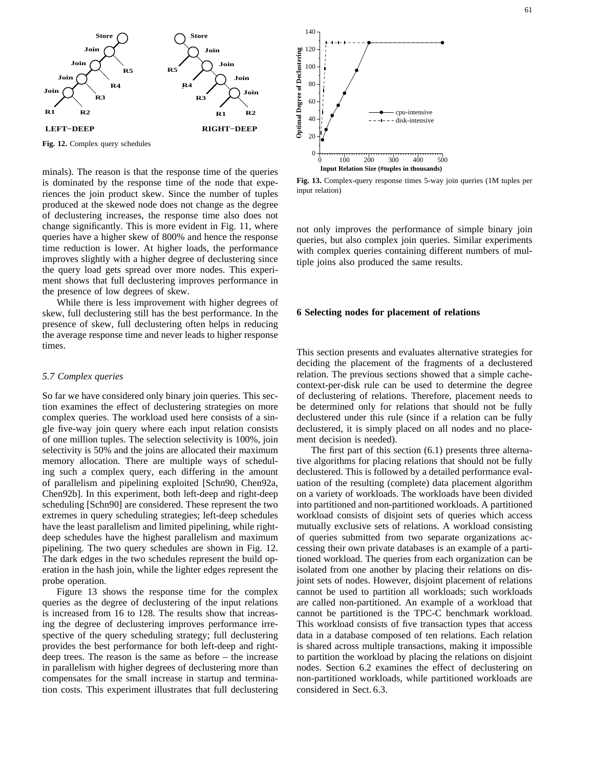

**Fig. 12.** Complex query schedules

minals). The reason is that the response time of the queries is dominated by the response time of the node that experiences the join product skew. Since the number of tuples produced at the skewed node does not change as the degree of declustering increases, the response time also does not change significantly. This is more evident in Fig. 11, where queries have a higher skew of 800% and hence the response time reduction is lower. At higher loads, the performance improves slightly with a higher degree of declustering since the query load gets spread over more nodes. This experiment shows that full declustering improves performance in the presence of low degrees of skew.

While there is less improvement with higher degrees of skew, full declustering still has the best performance. In the presence of skew, full declustering often helps in reducing the average response time and never leads to higher response times.

### *5.7 Complex queries*

So far we have considered only binary join queries. This section examines the effect of declustering strategies on more complex queries. The workload used here consists of a single five-way join query where each input relation consists of one million tuples. The selection selectivity is 100%, join selectivity is 50% and the joins are allocated their maximum memory allocation. There are multiple ways of scheduling such a complex query, each differing in the amount of parallelism and pipelining exploited [Schn90, Chen92a, Chen92b]. In this experiment, both left-deep and right-deep scheduling [Schn90] are considered. These represent the two extremes in query scheduling strategies; left-deep schedules have the least parallelism and limited pipelining, while rightdeep schedules have the highest parallelism and maximum pipelining. The two query schedules are shown in Fig. 12. The dark edges in the two schedules represent the build operation in the hash join, while the lighter edges represent the probe operation.

Figure 13 shows the response time for the complex queries as the degree of declustering of the input relations is increased from 16 to 128. The results show that increasing the degree of declustering improves performance irrespective of the query scheduling strategy; full declustering provides the best performance for both left-deep and rightdeep trees. The reason is the same as before – the increase in parallelism with higher degrees of declustering more than compensates for the small increase in startup and termination costs. This experiment illustrates that full declustering



**Fig. 13.** Complex-query response times 5-way join queries (1M tuples per input relation)

not only improves the performance of simple binary join queries, but also complex join queries. Similar experiments with complex queries containing different numbers of multiple joins also produced the same results.

### **6 Selecting nodes for placement of relations**

This section presents and evaluates alternative strategies for deciding the placement of the fragments of a declustered relation. The previous sections showed that a simple cachecontext-per-disk rule can be used to determine the degree of declustering of relations. Therefore, placement needs to be determined only for relations that should not be fully declustered under this rule (since if a relation can be fully declustered, it is simply placed on all nodes and no placement decision is needed).

The first part of this section (6.1) presents three alternative algorithms for placing relations that should not be fully declustered. This is followed by a detailed performance evaluation of the resulting (complete) data placement algorithm on a variety of workloads. The workloads have been divided into partitioned and non-partitioned workloads. A partitioned workload consists of disjoint sets of queries which access mutually exclusive sets of relations. A workload consisting of queries submitted from two separate organizations accessing their own private databases is an example of a partitioned workload. The queries from each organization can be isolated from one another by placing their relations on disjoint sets of nodes. However, disjoint placement of relations cannot be used to partition all workloads; such workloads are called non-partitioned. An example of a workload that cannot be partitioned is the TPC-C benchmark workload. This workload consists of five transaction types that access data in a database composed of ten relations. Each relation is shared across multiple transactions, making it impossible to partition the workload by placing the relations on disjoint nodes. Section 6.2 examines the effect of declustering on non-partitioned workloads, while partitioned workloads are considered in Sect. 6.3.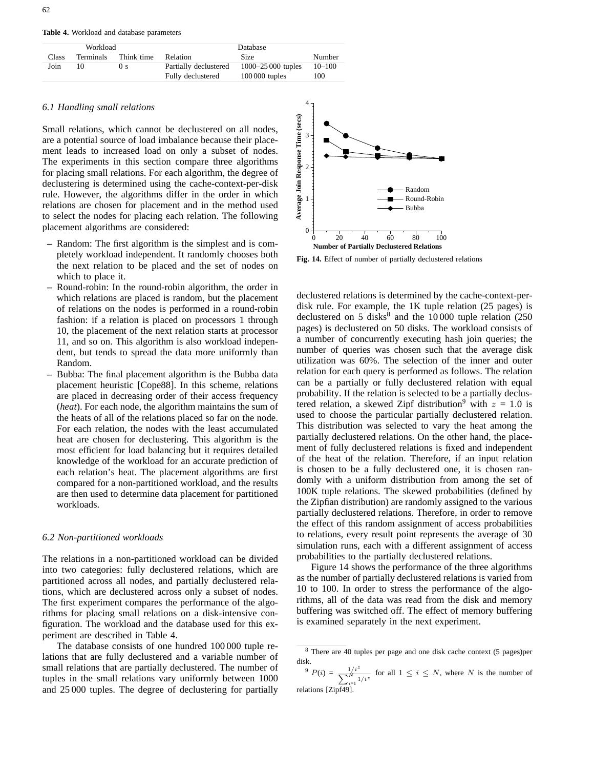**Table 4.** Workload and database parameters

|       | Workload         |            |                       | Database              |            |
|-------|------------------|------------|-----------------------|-----------------------|------------|
| Class | <b>Terminals</b> | Think time | <b>Relation</b>       | <b>Size</b>           | Number     |
| Join  | 10               | 0 s        | Partially declustered | $1000 - 25000$ tuples | $10 - 100$ |
|       |                  |            | Fully declustered     | $100000$ tuples       | 100        |

# *6.1 Handling small relations*

Small relations, which cannot be declustered on all nodes, are a potential source of load imbalance because their placement leads to increased load on only a subset of nodes. The experiments in this section compare three algorithms for placing small relations. For each algorithm, the degree of declustering is determined using the cache-context-per-disk rule. However, the algorithms differ in the order in which relations are chosen for placement and in the method used to select the nodes for placing each relation. The following placement algorithms are considered:

- **–** Random: The first algorithm is the simplest and is completely workload independent. It randomly chooses both the next relation to be placed and the set of nodes on which to place it.
- **–** Round-robin: In the round-robin algorithm, the order in which relations are placed is random, but the placement of relations on the nodes is performed in a round-robin fashion: if a relation is placed on processors 1 through 10, the placement of the next relation starts at processor 11, and so on. This algorithm is also workload independent, but tends to spread the data more uniformly than Random.
- **–** Bubba: The final placement algorithm is the Bubba data placement heuristic [Cope88]. In this scheme, relations are placed in decreasing order of their access frequency (*heat*). For each node, the algorithm maintains the sum of the heats of all of the relations placed so far on the node. For each relation, the nodes with the least accumulated heat are chosen for declustering. This algorithm is the most efficient for load balancing but it requires detailed knowledge of the workload for an accurate prediction of each relation's heat. The placement algorithms are first compared for a non-partitioned workload, and the results are then used to determine data placement for partitioned workloads.

### *6.2 Non-partitioned workloads*

The relations in a non-partitioned workload can be divided into two categories: fully declustered relations, which are partitioned across all nodes, and partially declustered relations, which are declustered across only a subset of nodes. The first experiment compares the performance of the algorithms for placing small relations on a disk-intensive configuration. The workload and the database used for this experiment are described in Table 4.

The database consists of one hundred 100 000 tuple relations that are fully declustered and a variable number of small relations that are partially declustered. The number of tuples in the small relations vary uniformly between 1000 and 25 000 tuples. The degree of declustering for partially



**Fig. 14.** Effect of number of partially declustered relations

declustered relations is determined by the cache-context-perdisk rule. For example, the 1K tuple relation (25 pages) is declustered on 5 disks $8$  and the 10000 tuple relation (250 pages) is declustered on 50 disks. The workload consists of a number of concurrently executing hash join queries; the number of queries was chosen such that the average disk utilization was 60%. The selection of the inner and outer relation for each query is performed as follows. The relation can be a partially or fully declustered relation with equal probability. If the relation is selected to be a partially declustered relation, a skewed Zipf distribution<sup>9</sup> with  $z = 1.0$  is used to choose the particular partially declustered relation. This distribution was selected to vary the heat among the partially declustered relations. On the other hand, the placement of fully declustered relations is fixed and independent of the heat of the relation. Therefore, if an input relation is chosen to be a fully declustered one, it is chosen randomly with a uniform distribution from among the set of 100K tuple relations. The skewed probabilities (defined by the Zipfian distribution) are randomly assigned to the various partially declustered relations. Therefore, in order to remove the effect of this random assignment of access probabilities to relations, every result point represents the average of 30 simulation runs, each with a different assignment of access probabilities to the partially declustered relations.

Figure 14 shows the performance of the three algorithms as the number of partially declustered relations is varied from 10 to 100. In order to stress the performance of the algorithms, all of the data was read from the disk and memory buffering was switched off. The effect of memory buffering is examined separately in the next experiment.

<sup>8</sup> There are 40 tuples per page and one disk cache context (5 pages)per disk.

 $P(i) = \frac{1/i^z}{\sum_{i=1}^N 1/i^z}$  for all  $1 \le i \le N$ , where *N* is the number of relations [Zipf49].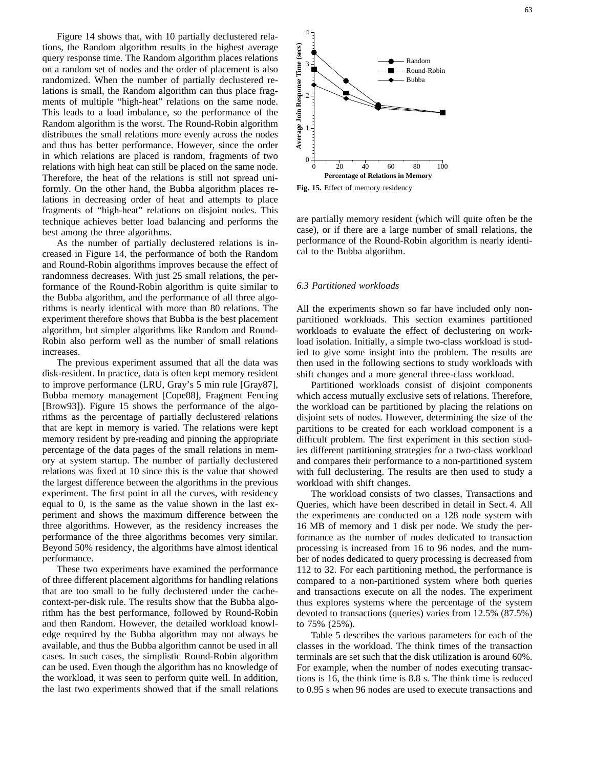Figure 14 shows that, with 10 partially declustered relations, the Random algorithm results in the highest average query response time. The Random algorithm places relations on a random set of nodes and the order of placement is also randomized. When the number of partially declustered relations is small, the Random algorithm can thus place fragments of multiple "high-heat" relations on the same node. This leads to a load imbalance, so the performance of the Random algorithm is the worst. The Round-Robin algorithm distributes the small relations more evenly across the nodes and thus has better performance. However, since the order in which relations are placed is random, fragments of two relations with high heat can still be placed on the same node. Therefore, the heat of the relations is still not spread uniformly. On the other hand, the Bubba algorithm places relations in decreasing order of heat and attempts to place fragments of "high-heat" relations on disjoint nodes. This technique achieves better load balancing and performs the best among the three algorithms.

As the number of partially declustered relations is increased in Figure 14, the performance of both the Random and Round-Robin algorithms improves because the effect of randomness decreases. With just 25 small relations, the performance of the Round-Robin algorithm is quite similar to the Bubba algorithm, and the performance of all three algorithms is nearly identical with more than 80 relations. The experiment therefore shows that Bubba is the best placement algorithm, but simpler algorithms like Random and Round-Robin also perform well as the number of small relations increases.

The previous experiment assumed that all the data was disk-resident. In practice, data is often kept memory resident to improve performance (LRU, Gray's 5 min rule [Gray87], Bubba memory management [Cope88], Fragment Fencing [Brow93]). Figure 15 shows the performance of the algorithms as the percentage of partially declustered relations that are kept in memory is varied. The relations were kept memory resident by pre-reading and pinning the appropriate percentage of the data pages of the small relations in memory at system startup. The number of partially declustered relations was fixed at 10 since this is the value that showed the largest difference between the algorithms in the previous experiment. The first point in all the curves, with residency equal to 0, is the same as the value shown in the last experiment and shows the maximum difference between the three algorithms. However, as the residency increases the performance of the three algorithms becomes very similar. Beyond 50% residency, the algorithms have almost identical performance.

These two experiments have examined the performance of three different placement algorithms for handling relations that are too small to be fully declustered under the cachecontext-per-disk rule. The results show that the Bubba algorithm has the best performance, followed by Round-Robin and then Random. However, the detailed workload knowledge required by the Bubba algorithm may not always be available, and thus the Bubba algorithm cannot be used in all cases. In such cases, the simplistic Round-Robin algorithm can be used. Even though the algorithm has no knowledge of the workload, it was seen to perform quite well. In addition, the last two experiments showed that if the small relations



**Fig. 15.** Effect of memory residency

are partially memory resident (which will quite often be the case), or if there are a large number of small relations, the performance of the Round-Robin algorithm is nearly identical to the Bubba algorithm.

### *6.3 Partitioned workloads*

All the experiments shown so far have included only nonpartitioned workloads. This section examines partitioned workloads to evaluate the effect of declustering on workload isolation. Initially, a simple two-class workload is studied to give some insight into the problem. The results are then used in the following sections to study workloads with shift changes and a more general three-class workload.

Partitioned workloads consist of disjoint components which access mutually exclusive sets of relations. Therefore, the workload can be partitioned by placing the relations on disjoint sets of nodes. However, determining the size of the partitions to be created for each workload component is a difficult problem. The first experiment in this section studies different partitioning strategies for a two-class workload and compares their performance to a non-partitioned system with full declustering. The results are then used to study a workload with shift changes.

The workload consists of two classes, Transactions and Queries, which have been described in detail in Sect. 4. All the experiments are conducted on a 128 node system with 16 MB of memory and 1 disk per node. We study the performance as the number of nodes dedicated to transaction processing is increased from 16 to 96 nodes. and the number of nodes dedicated to query processing is decreased from 112 to 32. For each partitioning method, the performance is compared to a non-partitioned system where both queries and transactions execute on all the nodes. The experiment thus explores systems where the percentage of the system devoted to transactions (queries) varies from 12.5% (87.5%) to 75% (25%).

Table 5 describes the various parameters for each of the classes in the workload. The think times of the transaction terminals are set such that the disk utilization is around 60%. For example, when the number of nodes executing transactions is 16, the think time is 8.8 s. The think time is reduced to 0.95 s when 96 nodes are used to execute transactions and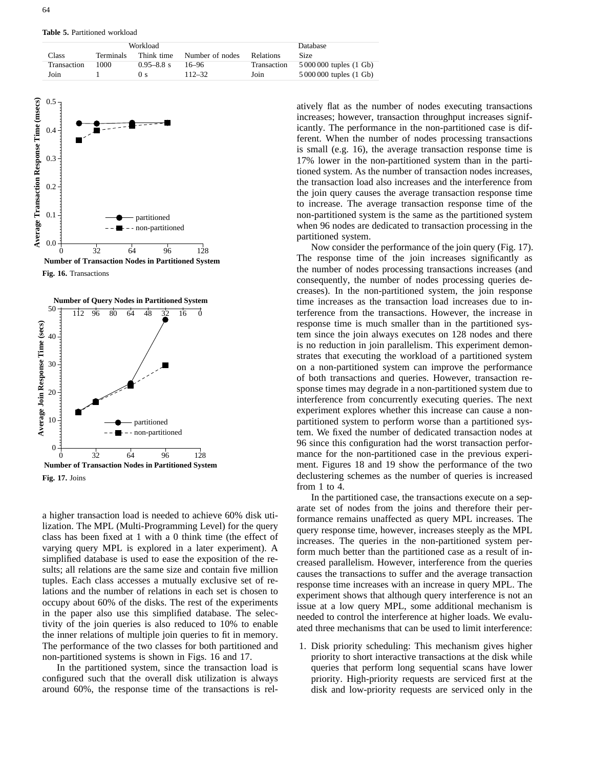**Table 5.** Partitioned workload

| Workload    |                  |                | Database        |             |                         |
|-------------|------------------|----------------|-----------------|-------------|-------------------------|
| Class       | <b>Terminals</b> | Think time     | Number of nodes | Relations   | Size                    |
| Transaction | 1000             | $0.95 - 8.8$ s | 16–96           | Transaction | 5 000 000 tuples (1 Gb) |
| Join        |                  | 0 <sup>s</sup> | $112 - 32$      | Join        | 5 000 000 tuples (1 Gb) |





a higher transaction load is needed to achieve 60% disk utilization. The MPL (Multi-Programming Level) for the query class has been fixed at 1 with a 0 think time (the effect of varying query MPL is explored in a later experiment). A simplified database is used to ease the exposition of the results; all relations are the same size and contain five million tuples. Each class accesses a mutually exclusive set of relations and the number of relations in each set is chosen to occupy about 60% of the disks. The rest of the experiments in the paper also use this simplified database. The selectivity of the join queries is also reduced to 10% to enable the inner relations of multiple join queries to fit in memory. The performance of the two classes for both partitioned and non-partitioned systems is shown in Figs. 16 and 17.

In the partitioned system, since the transaction load is configured such that the overall disk utilization is always around 60%, the response time of the transactions is relatively flat as the number of nodes executing transactions increases; however, transaction throughput increases significantly. The performance in the non-partitioned case is different. When the number of nodes processing transactions is small (e.g. 16), the average transaction response time is 17% lower in the non-partitioned system than in the partitioned system. As the number of transaction nodes increases, the transaction load also increases and the interference from the join query causes the average transaction response time to increase. The average transaction response time of the non-partitioned system is the same as the partitioned system when 96 nodes are dedicated to transaction processing in the partitioned system.

Now consider the performance of the join query (Fig. 17). The response time of the join increases significantly as the number of nodes processing transactions increases (and consequently, the number of nodes processing queries decreases). In the non-partitioned system, the join response time increases as the transaction load increases due to interference from the transactions. However, the increase in response time is much smaller than in the partitioned system since the join always executes on 128 nodes and there is no reduction in join parallelism. This experiment demonstrates that executing the workload of a partitioned system on a non-partitioned system can improve the performance of both transactions and queries. However, transaction response times may degrade in a non-partitioned system due to interference from concurrently executing queries. The next experiment explores whether this increase can cause a nonpartitioned system to perform worse than a partitioned system. We fixed the number of dedicated transaction nodes at 96 since this configuration had the worst transaction performance for the non-partitioned case in the previous experiment. Figures 18 and 19 show the performance of the two declustering schemes as the number of queries is increased from 1 to 4.

In the partitioned case, the transactions execute on a separate set of nodes from the joins and therefore their performance remains unaffected as query MPL increases. The query response time, however, increases steeply as the MPL increases. The queries in the non-partitioned system perform much better than the partitioned case as a result of increased parallelism. However, interference from the queries causes the transactions to suffer and the average transaction response time increases with an increase in query MPL. The experiment shows that although query interference is not an issue at a low query MPL, some additional mechanism is needed to control the interference at higher loads. We evaluated three mechanisms that can be used to limit interference:

1. Disk priority scheduling: This mechanism gives higher priority to short interactive transactions at the disk while queries that perform long sequential scans have lower priority. High-priority requests are serviced first at the disk and low-priority requests are serviced only in the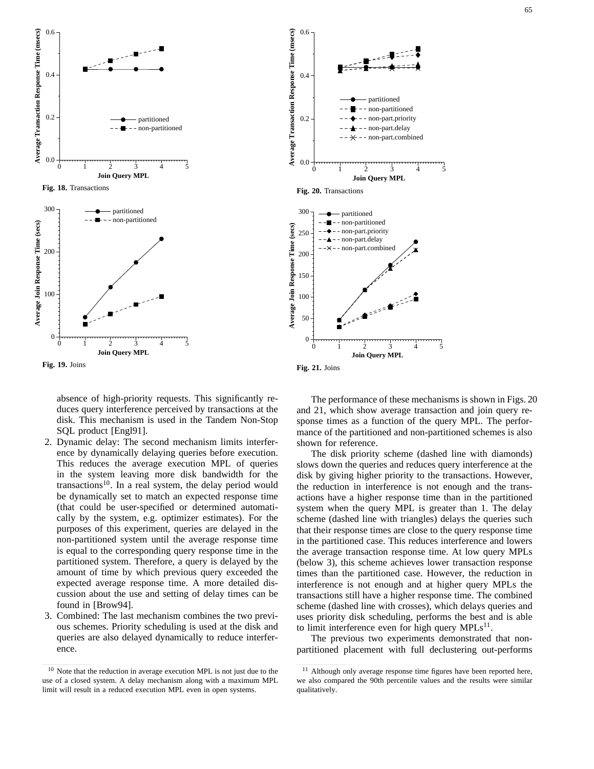

absence of high-priority requests. This significantly reduces query interference perceived by transactions at the disk. This mechanism is used in the Tandem Non-Stop SQL product [Engl91].

- 2. Dynamic delay: The second mechanism limits interference by dynamically delaying queries before execution. This reduces the average execution MPL of queries in the system leaving more disk bandwidth for the transactions<sup>10</sup>. In a real system, the delay period would be dynamically set to match an expected response time (that could be user-specified or determined automatically by the system, e.g. optimizer estimates). For the purposes of this experiment, queries are delayed in the non-partitioned system until the average response time is equal to the corresponding query response time in the partitioned system. Therefore, a query is delayed by the amount of time by which previous query exceeded the expected average response time. A more detailed discussion about the use and setting of delay times can be found in [Brow94].
- 3. Combined: The last mechanism combines the two previous schemes. Priority scheduling is used at the disk and queries are also delayed dynamically to reduce interference.



**Fig. 21.** Joins

The performance of these mechanisms is shown in Figs. 20 and 21, which show average transaction and join query response times as a function of the query MPL. The performance of the partitioned and non-partitioned schemes is also shown for reference.

The disk priority scheme (dashed line with diamonds) slows down the queries and reduces query interference at the disk by giving higher priority to the transactions. However, the reduction in interference is not enough and the transactions have a higher response time than in the partitioned system when the query MPL is greater than 1. The delay scheme (dashed line with triangles) delays the queries such that their response times are close to the query response time in the partitioned case. This reduces interference and lowers the average transaction response time. At low query MPLs (below 3), this scheme achieves lower transaction response times than the partitioned case. However, the reduction in interference is not enough and at higher query MPLs the transactions still have a higher response time. The combined scheme (dashed line with crosses), which delays queries and uses priority disk scheduling, performs the best and is able to limit interference even for high query  $MPLs^{11}$ .

The previous two experiments demonstrated that nonpartitioned placement with full declustering out-performs

 $10$  Note that the reduction in average execution MPL is not just due to the use of a closed system. A delay mechanism along with a maximum MPL limit will result in a reduced execution MPL even in open systems.

<sup>&</sup>lt;sup>11</sup> Although only average response time figures have been reported here, we also compared the 90th percentile values and the results were similar qualitatively.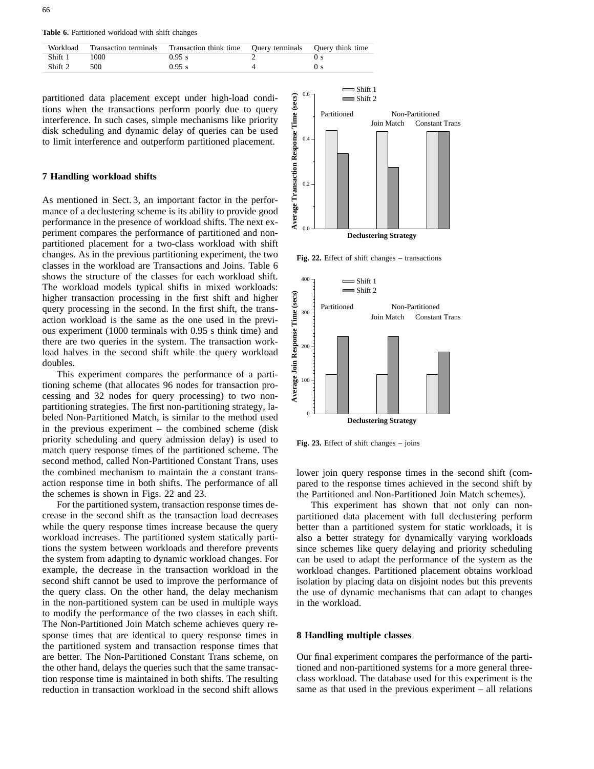**Table 6.** Partitioned workload with shift changes

| Workload | Transaction terminals | Transaction think time | Ouery terminals | Ouery think time |
|----------|-----------------------|------------------------|-----------------|------------------|
| Shift 1  | 000                   | $0.95 \text{ s}$       |                 |                  |
| Shift 2  | 500                   | 0.95 s                 |                 |                  |

partitioned data placement except under high-load conditions when the transactions perform poorly due to query interference. In such cases, simple mechanisms like priority disk scheduling and dynamic delay of queries can be used to limit interference and outperform partitioned placement.

### **7 Handling workload shifts**

As mentioned in Sect. 3, an important factor in the performance of a declustering scheme is its ability to provide good performance in the presence of workload shifts. The next experiment compares the performance of partitioned and nonpartitioned placement for a two-class workload with shift changes. As in the previous partitioning experiment, the two classes in the workload are Transactions and Joins. Table 6 shows the structure of the classes for each workload shift. The workload models typical shifts in mixed workloads: higher transaction processing in the first shift and higher query processing in the second. In the first shift, the transaction workload is the same as the one used in the previous experiment (1000 terminals with 0.95 s think time) and there are two queries in the system. The transaction workload halves in the second shift while the query workload doubles.

This experiment compares the performance of a partitioning scheme (that allocates 96 nodes for transaction processing and 32 nodes for query processing) to two nonpartitioning strategies. The first non-partitioning strategy, labeled Non-Partitioned Match, is similar to the method used in the previous experiment – the combined scheme (disk priority scheduling and query admission delay) is used to match query response times of the partitioned scheme. The second method, called Non-Partitioned Constant Trans, uses the combined mechanism to maintain the a constant transaction response time in both shifts. The performance of all the schemes is shown in Figs. 22 and 23.

For the partitioned system, transaction response times decrease in the second shift as the transaction load decreases while the query response times increase because the query workload increases. The partitioned system statically partitions the system between workloads and therefore prevents the system from adapting to dynamic workload changes. For example, the decrease in the transaction workload in the second shift cannot be used to improve the performance of the query class. On the other hand, the delay mechanism in the non-partitioned system can be used in multiple ways to modify the performance of the two classes in each shift. The Non-Partitioned Join Match scheme achieves query response times that are identical to query response times in the partitioned system and transaction response times that are better. The Non-Partitioned Constant Trans scheme, on the other hand, delays the queries such that the same transaction response time is maintained in both shifts. The resulting reduction in transaction workload in the second shift allows



**Fig. 22.** Effect of shift changes – transactions



**Fig. 23.** Effect of shift changes – joins

lower join query response times in the second shift (compared to the response times achieved in the second shift by the Partitioned and Non-Partitioned Join Match schemes).

This experiment has shown that not only can nonpartitioned data placement with full declustering perform better than a partitioned system for static workloads, it is also a better strategy for dynamically varying workloads since schemes like query delaying and priority scheduling can be used to adapt the performance of the system as the workload changes. Partitioned placement obtains workload isolation by placing data on disjoint nodes but this prevents the use of dynamic mechanisms that can adapt to changes in the workload.

# **8 Handling multiple classes**

Our final experiment compares the performance of the partitioned and non-partitioned systems for a more general threeclass workload. The database used for this experiment is the same as that used in the previous experiment – all relations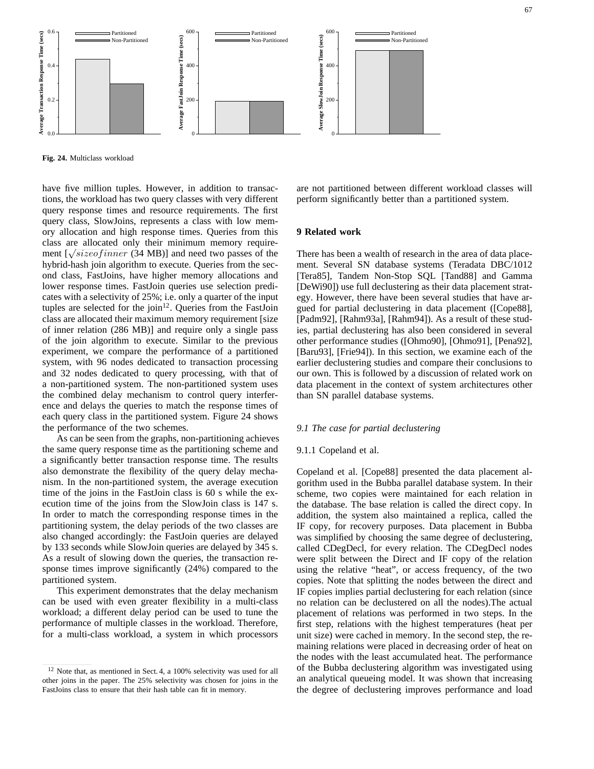

**Fig. 24.** Multiclass workload

have five million tuples. However, in addition to transactions, the workload has two query classes with very different query response times and resource requirements. The first query class, SlowJoins, represents a class with low memory allocation and high response times. Queries from this class are allocated only their minimum memory requirement [*√sizeof inner* (34 MB)] and need two passes of the hybrid-hash join algorithm to execute. Queries from the second class, FastJoins, have higher memory allocations and lower response times. FastJoin queries use selection predicates with a selectivity of 25%; i.e. only a quarter of the input tuples are selected for the join<sup>12</sup>. Queries from the FastJoin class are allocated their maximum memory requirement [size of inner relation (286 MB)] and require only a single pass of the join algorithm to execute. Similar to the previous experiment, we compare the performance of a partitioned system, with 96 nodes dedicated to transaction processing and 32 nodes dedicated to query processing, with that of a non-partitioned system. The non-partitioned system uses the combined delay mechanism to control query interference and delays the queries to match the response times of each query class in the partitioned system. Figure 24 shows the performance of the two schemes.

As can be seen from the graphs, non-partitioning achieves the same query response time as the partitioning scheme and a significantly better transaction response time. The results also demonstrate the flexibility of the query delay mechanism. In the non-partitioned system, the average execution time of the joins in the FastJoin class is 60 s while the execution time of the joins from the SlowJoin class is 147 s. In order to match the corresponding response times in the partitioning system, the delay periods of the two classes are also changed accordingly: the FastJoin queries are delayed by 133 seconds while SlowJoin queries are delayed by 345 s. As a result of slowing down the queries, the transaction response times improve significantly (24%) compared to the partitioned system.

This experiment demonstrates that the delay mechanism can be used with even greater flexibility in a multi-class workload; a different delay period can be used to tune the performance of multiple classes in the workload. Therefore, for a multi-class workload, a system in which processors

are not partitioned between different workload classes will perform significantly better than a partitioned system.

### **9 Related work**

There has been a wealth of research in the area of data placement. Several SN database systems (Teradata DBC/1012 [Tera85], Tandem Non-Stop SQL [Tand88] and Gamma [DeWi90]) use full declustering as their data placement strategy. However, there have been several studies that have argued for partial declustering in data placement ([Cope88], [Padm92], [Rahm93a], [Rahm94]). As a result of these studies, partial declustering has also been considered in several other performance studies ([Ohmo90], [Ohmo91], [Pena92], [Baru93], [Frie94]). In this section, we examine each of the earlier declustering studies and compare their conclusions to our own. This is followed by a discussion of related work on data placement in the context of system architectures other than SN parallel database systems.

# *9.1 The case for partial declustering*

### 9.1.1 Copeland et al.

Copeland et al. [Cope88] presented the data placement algorithm used in the Bubba parallel database system. In their scheme, two copies were maintained for each relation in the database. The base relation is called the direct copy. In addition, the system also maintained a replica, called the IF copy, for recovery purposes. Data placement in Bubba was simplified by choosing the same degree of declustering, called CDegDecl, for every relation. The CDegDecl nodes were split between the Direct and IF copy of the relation using the relative "heat", or access frequency, of the two copies. Note that splitting the nodes between the direct and IF copies implies partial declustering for each relation (since no relation can be declustered on all the nodes).The actual placement of relations was performed in two steps. In the first step, relations with the highest temperatures (heat per unit size) were cached in memory. In the second step, the remaining relations were placed in decreasing order of heat on the nodes with the least accumulated heat. The performance of the Bubba declustering algorithm was investigated using an analytical queueing model. It was shown that increasing the degree of declustering improves performance and load

<sup>&</sup>lt;sup>12</sup> Note that, as mentioned in Sect. 4, a 100% selectivity was used for all other joins in the paper. The 25% selectivity was chosen for joins in the FastJoins class to ensure that their hash table can fit in memory.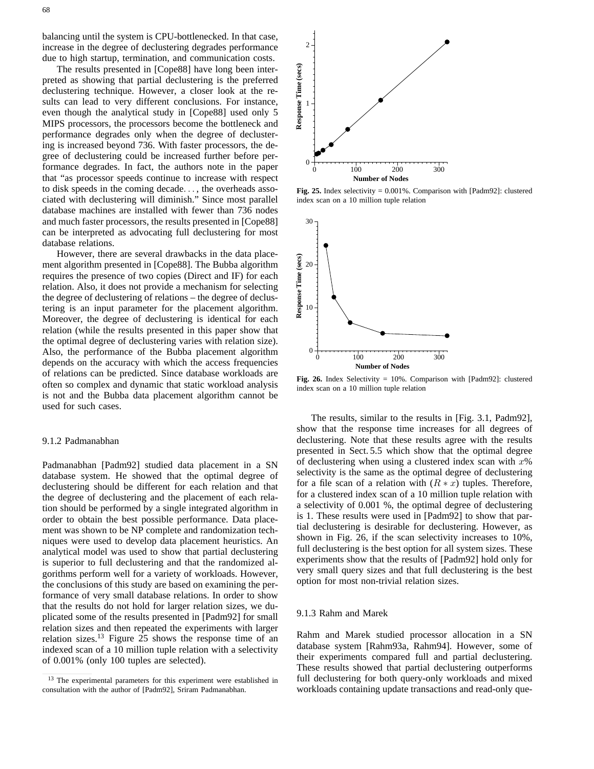balancing until the system is CPU-bottlenecked. In that case, increase in the degree of declustering degrades performance due to high startup, termination, and communication costs.

The results presented in [Cope88] have long been interpreted as showing that partial declustering is the preferred declustering technique. However, a closer look at the results can lead to very different conclusions. For instance, even though the analytical study in [Cope88] used only 5 MIPS processors, the processors become the bottleneck and performance degrades only when the degree of declustering is increased beyond 736. With faster processors, the degree of declustering could be increased further before performance degrades. In fact, the authors note in the paper that "as processor speeds continue to increase with respect to disk speeds in the coming decade*...* , the overheads associated with declustering will diminish." Since most parallel database machines are installed with fewer than 736 nodes and much faster processors, the results presented in [Cope88] can be interpreted as advocating full declustering for most database relations.

However, there are several drawbacks in the data placement algorithm presented in [Cope88]. The Bubba algorithm requires the presence of two copies (Direct and IF) for each relation. Also, it does not provide a mechanism for selecting the degree of declustering of relations – the degree of declustering is an input parameter for the placement algorithm. Moreover, the degree of declustering is identical for each relation (while the results presented in this paper show that the optimal degree of declustering varies with relation size). Also, the performance of the Bubba placement algorithm depends on the accuracy with which the access frequencies of relations can be predicted. Since database workloads are often so complex and dynamic that static workload analysis is not and the Bubba data placement algorithm cannot be used for such cases.

#### 9.1.2 Padmanabhan

Padmanabhan [Padm92] studied data placement in a SN database system. He showed that the optimal degree of declustering should be different for each relation and that the degree of declustering and the placement of each relation should be performed by a single integrated algorithm in order to obtain the best possible performance. Data placement was shown to be NP complete and randomization techniques were used to develop data placement heuristics. An analytical model was used to show that partial declustering is superior to full declustering and that the randomized algorithms perform well for a variety of workloads. However, the conclusions of this study are based on examining the performance of very small database relations. In order to show that the results do not hold for larger relation sizes, we duplicated some of the results presented in [Padm92] for small relation sizes and then repeated the experiments with larger relation sizes.<sup>13</sup> Figure 25 shows the response time of an indexed scan of a 10 million tuple relation with a selectivity of 0.001% (only 100 tuples are selected).



**Fig. 25.** Index selectivity = 0.001%. Comparison with [Padm92]: clustered index scan on a 10 million tuple relation



**Fig. 26.** Index Selectivity = 10%. Comparison with [Padm92]: clustered index scan on a 10 million tuple relation

The results, similar to the results in [Fig. 3.1, Padm92], show that the response time increases for all degrees of declustering. Note that these results agree with the results presented in Sect. 5.5 which show that the optimal degree of declustering when using a clustered index scan with *x*% selectivity is the same as the optimal degree of declustering for a file scan of a relation with  $(R * x)$  tuples. Therefore, for a clustered index scan of a 10 million tuple relation with a selectivity of 0.001 %, the optimal degree of declustering is 1. These results were used in [Padm92] to show that partial declustering is desirable for declustering. However, as shown in Fig. 26, if the scan selectivity increases to 10%, full declustering is the best option for all system sizes. These experiments show that the results of [Padm92] hold only for very small query sizes and that full declustering is the best option for most non-trivial relation sizes.

# 9.1.3 Rahm and Marek

Rahm and Marek studied processor allocation in a SN database system [Rahm93a, Rahm94]. However, some of their experiments compared full and partial declustering. These results showed that partial declustering outperforms full declustering for both query-only workloads and mixed workloads containing update transactions and read-only que-

<sup>&</sup>lt;sup>13</sup> The experimental parameters for this experiment were established in consultation with the author of [Padm92], Sriram Padmanabhan.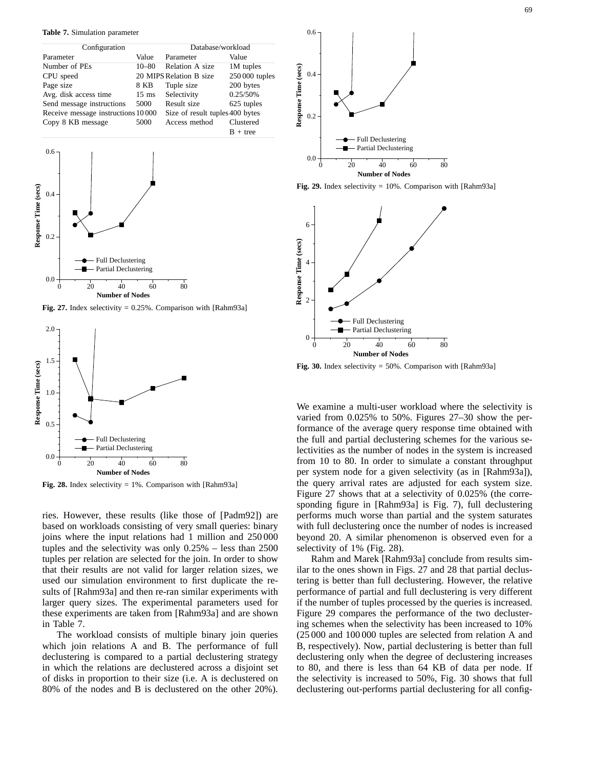**Table 7.** Simulation parameter

| Configuration                      | Database/workload |                                 |                |
|------------------------------------|-------------------|---------------------------------|----------------|
| Parameter                          | Value             | Parameter                       | Value          |
| Number of PEs                      | $10 - 80$         | Relation A size                 | 1M tuples      |
| CPU speed                          |                   | 20 MIPS Relation B size         | 250 000 tuples |
| Page size                          | 8 KB              | Tuple size                      | 200 bytes      |
| Avg. disk access time              | $15 \text{ ms}$   | Selectivity                     | 0.25/50%       |
| Send message instructions          | 5000              | Result size                     | 625 tuples     |
| Receive message instructions 10000 |                   | Size of result tuples 400 bytes |                |
| Copy 8 KB message                  | 5000              | Access method                   | Clustered      |
|                                    |                   |                                 | $B + tree$     |



**Fig. 27.** Index selectivity = 0.25%. Comparison with [Rahm93a]



**Fig. 28.** Index selectivity = 1%. Comparison with [Rahm93a]

ries. However, these results (like those of [Padm92]) are based on workloads consisting of very small queries: binary joins where the input relations had 1 million and 250 000 tuples and the selectivity was only 0.25% – less than 2500 tuples per relation are selected for the join. In order to show that their results are not valid for larger relation sizes, we used our simulation environment to first duplicate the results of [Rahm93a] and then re-ran similar experiments with larger query sizes. The experimental parameters used for these experiments are taken from [Rahm93a] and are shown in Table 7.

The workload consists of multiple binary join queries which join relations A and B. The performance of full declustering is compared to a partial declustering strategy in which the relations are declustered across a disjoint set of disks in proportion to their size (i.e. A is declustered on 80% of the nodes and B is declustered on the other 20%).



**Fig. 29.** Index selectivity = 10%. Comparison with [Rahm93a]



**Fig. 30.** Index selectivity = 50%. Comparison with [Rahm93a]

We examine a multi-user workload where the selectivity is varied from 0.025% to 50%. Figures 27–30 show the performance of the average query response time obtained with the full and partial declustering schemes for the various selectivities as the number of nodes in the system is increased from 10 to 80. In order to simulate a constant throughput per system node for a given selectivity (as in [Rahm93a]), the query arrival rates are adjusted for each system size. Figure 27 shows that at a selectivity of 0.025% (the corresponding figure in [Rahm93a] is Fig. 7), full declustering performs much worse than partial and the system saturates with full declustering once the number of nodes is increased beyond 20. A similar phenomenon is observed even for a selectivity of 1% (Fig. 28).

Rahm and Marek [Rahm93a] conclude from results similar to the ones shown in Figs. 27 and 28 that partial declustering is better than full declustering. However, the relative performance of partial and full declustering is very different if the number of tuples processed by the queries is increased. Figure 29 compares the performance of the two declustering schemes when the selectivity has been increased to 10% (25 000 and 100 000 tuples are selected from relation A and B, respectively). Now, partial declustering is better than full declustering only when the degree of declustering increases to 80, and there is less than 64 KB of data per node. If the selectivity is increased to 50%, Fig. 30 shows that full declustering out-performs partial declustering for all config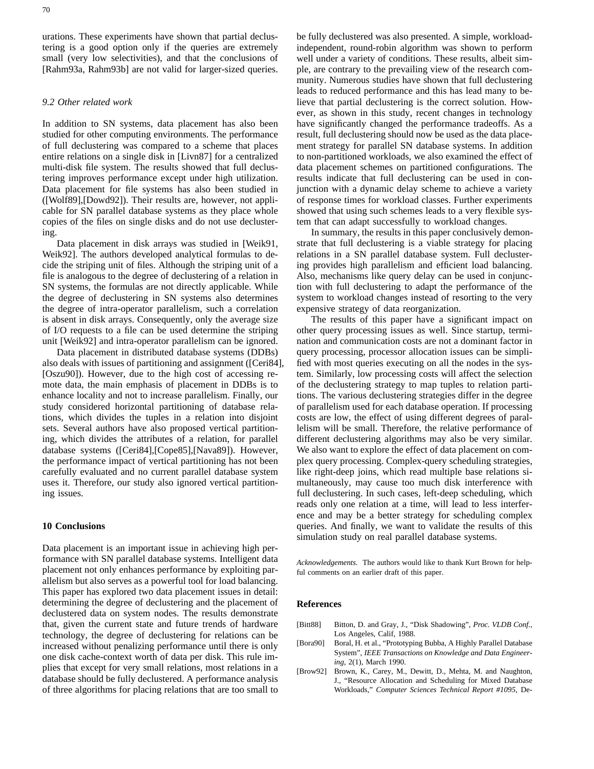urations. These experiments have shown that partial declustering is a good option only if the queries are extremely small (very low selectivities), and that the conclusions of [Rahm93a, Rahm93b] are not valid for larger-sized queries.

### *9.2 Other related work*

In addition to SN systems, data placement has also been studied for other computing environments. The performance of full declustering was compared to a scheme that places entire relations on a single disk in [Livn87] for a centralized multi-disk file system. The results showed that full declustering improves performance except under high utilization. Data placement for file systems has also been studied in ([Wolf89],[Dowd92]). Their results are, however, not applicable for SN parallel database systems as they place whole copies of the files on single disks and do not use declustering.

Data placement in disk arrays was studied in [Weik91, Weik92]. The authors developed analytical formulas to decide the striping unit of files. Although the striping unit of a file is analogous to the degree of declustering of a relation in SN systems, the formulas are not directly applicable. While the degree of declustering in SN systems also determines the degree of intra-operator parallelism, such a correlation is absent in disk arrays. Consequently, only the average size of I/O requests to a file can be used determine the striping unit [Weik92] and intra-operator parallelism can be ignored.

Data placement in distributed database systems (DDBs) also deals with issues of partitioning and assignment ([Ceri84], [Oszu90]). However, due to the high cost of accessing remote data, the main emphasis of placement in DDBs is to enhance locality and not to increase parallelism. Finally, our study considered horizontal partitioning of database relations, which divides the tuples in a relation into disjoint sets. Several authors have also proposed vertical partitioning, which divides the attributes of a relation, for parallel database systems ([Ceri84],[Cope85],[Nava89]). However, the performance impact of vertical partitioning has not been carefully evaluated and no current parallel database system uses it. Therefore, our study also ignored vertical partitioning issues.

### **10 Conclusions**

Data placement is an important issue in achieving high performance with SN parallel database systems. Intelligent data placement not only enhances performance by exploiting parallelism but also serves as a powerful tool for load balancing. This paper has explored two data placement issues in detail: determining the degree of declustering and the placement of declustered data on system nodes. The results demonstrate that, given the current state and future trends of hardware technology, the degree of declustering for relations can be increased without penalizing performance until there is only one disk cache-context worth of data per disk. This rule implies that except for very small relations, most relations in a database should be fully declustered. A performance analysis of three algorithms for placing relations that are too small to

be fully declustered was also presented. A simple, workloadindependent, round-robin algorithm was shown to perform well under a variety of conditions. These results, albeit simple, are contrary to the prevailing view of the research community. Numerous studies have shown that full declustering leads to reduced performance and this has lead many to believe that partial declustering is the correct solution. However, as shown in this study, recent changes in technology have significantly changed the performance tradeoffs. As a result, full declustering should now be used as the data placement strategy for parallel SN database systems. In addition to non-partitioned workloads, we also examined the effect of data placement schemes on partitioned configurations. The results indicate that full declustering can be used in conjunction with a dynamic delay scheme to achieve a variety of response times for workload classes. Further experiments showed that using such schemes leads to a very flexible system that can adapt successfully to workload changes.

In summary, the results in this paper conclusively demonstrate that full declustering is a viable strategy for placing relations in a SN parallel database system. Full declustering provides high parallelism and efficient load balancing. Also, mechanisms like query delay can be used in conjunction with full declustering to adapt the performance of the system to workload changes instead of resorting to the very expensive strategy of data reorganization.

The results of this paper have a significant impact on other query processing issues as well. Since startup, termination and communication costs are not a dominant factor in query processing, processor allocation issues can be simplified with most queries executing on all the nodes in the system. Similarly, low processing costs will affect the selection of the declustering strategy to map tuples to relation partitions. The various declustering strategies differ in the degree of parallelism used for each database operation. If processing costs are low, the effect of using different degrees of parallelism will be small. Therefore, the relative performance of different declustering algorithms may also be very similar. We also want to explore the effect of data placement on complex query processing. Complex-query scheduling strategies, like right-deep joins, which read multiple base relations simultaneously, may cause too much disk interference with full declustering. In such cases, left-deep scheduling, which reads only one relation at a time, will lead to less interference and may be a better strategy for scheduling complex queries. And finally, we want to validate the results of this simulation study on real parallel database systems.

*Acknowledgements.* The authors would like to thank Kurt Brown for helpful comments on an earlier draft of this paper.

### **References**

- [Bitt88] Bitton, D. and Gray, J., "Disk Shadowing", *Proc. VLDB Conf.*, Los Angeles, Calif, 1988.
- [Bora90] Boral, H. et al., "Prototyping Bubba, A Highly Parallel Database System", *IEEE Transactions on Knowledge and Data Engineering*, 2(1), March 1990.
- [Brow92] Brown, K., Carey, M., Dewitt, D., Mehta, M. and Naughton, J., "Resource Allocation and Scheduling for Mixed Database Workloads," *Computer Sciences Technical Report #1095*, De-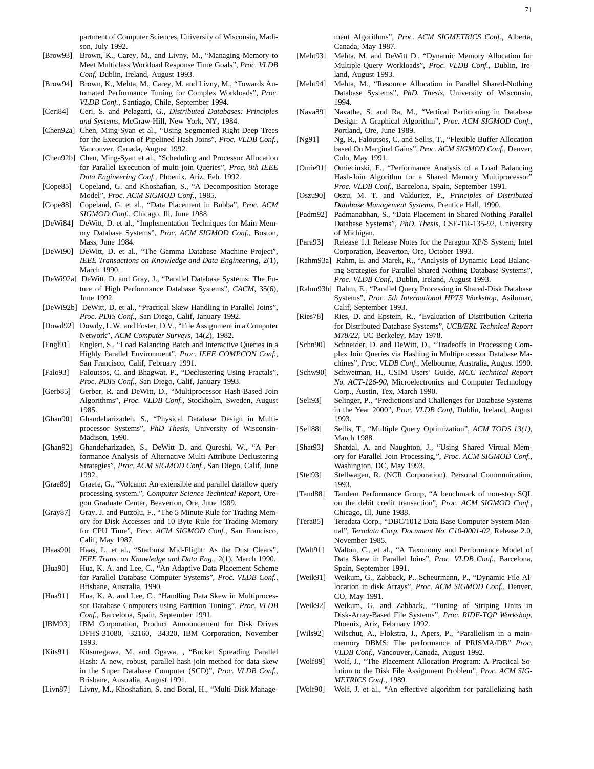partment of Computer Sciences, University of Wisconsin, Madison, July 1992.

- [Brow93] Brown, K., Carey, M., and Livny, M., "Managing Memory to Meet Multiclass Workload Response Time Goals", *Proc. VLDB Conf*, Dublin, Ireland, August 1993.
- [Brow94] Brown, K., Mehta, M., Carey, M. and Livny, M., "Towards Automated Performance Tuning for Complex Workloads", *Proc. VLDB Conf.*, Santiago, Chile, September 1994.
- [Ceri84] Ceri, S. and Pelagatti, G., *Distributed Databases: Principles and Systems*, McGraw-Hill, New York, NY, 1984.
- [Chen92a] Chen, Ming-Syan et al., "Using Segmented Right-Deep Trees for the Execution of Pipelined Hash Joins", *Proc. VLDB Conf.*, Vancouver, Canada, August 1992.
- [Chen92b] Chen, Ming-Syan et al., "Scheduling and Processor Allocation for Parallel Execution of multi-join Queries", *Proc. 8th IEEE Data Engineering Conf.*, Phoenix, Ariz, Feb. 1992.
- [Cope85] Copeland, G. and Khoshafian, S., "A Decomposition Storage Model", *Proc. ACM SIGMOD Conf.*, 1985.
- [Cope88] Copeland, G. et al., "Data Placement in Bubba", *Proc. ACM SIGMOD Conf.*, Chicago, Ill, June 1988.
- [DeWi84] DeWitt, D. et al., "Implementation Techniques for Main Memory Database Systems", *Proc. ACM SIGMOD Conf.*, Boston, Mass, June 1984.
- [DeWi90] DeWitt, D. et al., "The Gamma Database Machine Project", *IEEE Transactions on Knowledge and Data Engineering*, 2(1), March 1990.
- [DeWi92a] DeWitt, D. and Gray, J., "Parallel Database Systems: The Future of High Performance Database Systems", *CACM*, 35(6), June 1992.
- [DeWi92b] DeWitt, D. et al., "Practical Skew Handling in Parallel Joins", *Proc. PDIS Conf.*, San Diego, Calif, January 1992.
- [Dowd92] Dowdy, L.W. and Foster, D.V., "File Assignment in a Computer Network", *ACM Computer Surveys*, 14(2), 1982.
- [Engl91] Englert, S., "Load Balancing Batch and Interactive Queries in a Highly Parallel Environment", *Proc. IEEE COMPCON Conf.*, San Francisco, Calif, February 1991.
- [Falo93] Faloutsos, C. and Bhagwat, P., "Declustering Using Fractals", *Proc. PDIS Conf.*, San Diego, Calif, January 1993.
- [Gerb85] Gerber, R. and DeWitt, D., "Multiprocessor Hash-Based Join Algorithms", *Proc. VLDB Conf.*, Stockholm, Sweden, August 1985.
- [Ghan90] Ghandeharizadeh, S., "Physical Database Design in Multiprocessor Systems", *PhD Thesis*, University of Wisconsin-Madison, 1990.
- [Ghan92] Ghandeharizadeh, S., DeWitt D. and Qureshi, W., "A Performance Analysis of Alternative Multi-Attribute Declustering Strategies", *Proc. ACM SIGMOD Conf.*, San Diego, Calif, June 1992.
- [Grae89] Graefe, G., "Volcano: An extensible and parallel dataflow query processing system.", *Computer Science Technical Report*, Oregon Graduate Center, Beaverton, Ore, June 1989.
- [Gray87] Gray, J. and Putzolu, F., "The 5 Minute Rule for Trading Memory for Disk Accesses and 10 Byte Rule for Trading Memory for CPU Time", *Proc. ACM SIGMOD Conf.*, San Francisco, Calif, May 1987.
- [Haas90] Haas, L. et al., "Starburst Mid-Flight: As the Dust Clears", *IEEE Trans. on Knowledge and Data Eng.*, 2(1), March 1990.
- [Hua90] Hua, K. A. and Lee, C., "An Adaptive Data Placement Scheme for Parallel Database Computer Systems", *Proc. VLDB Conf.*, Brisbane, Australia, 1990.
- [Hua91] Hua, K. A. and Lee, C., "Handling Data Skew in Multiprocessor Database Computers using Partition Tuning", *Proc. VLDB Conf.*, Barcelona, Spain, September 1991.
- [IBM93] IBM Corporation, Product Announcement for Disk Drives DFHS-31080, -32160, -34320, IBM Corporation, November 1993.
- [Kits91] Kitsuregawa, M. and Ogawa, , "Bucket Spreading Parallel Hash: A new, robust, parallel hash-join method for data skew in the Super Database Computer (SCD)", *Proc. VLDB Conf.*, Brisbane, Australia, August 1991.
- [Livn87] Livny, M., Khoshafian, S. and Boral, H., "Multi-Disk Manage-

ment Algorithms", *Proc. ACM SIGMETRICS Conf.*, Alberta, Canada, May 1987.

- [Meht93] Mehta, M. and DeWitt D., "Dynamic Memory Allocation for Multiple-Query Workloads", *Proc. VLDB Conf.*, Dublin, Ireland, August 1993.
- [Meht94] Mehta, M., "Resource Allocation in Parallel Shared-Nothing Database Systems", *PhD. Thesis*, University of Wisconsin, 1994.
- [Nava89] Navathe, S. and Ra, M., "Vertical Partitioning in Database Design: A Graphical Algorithm", *Proc. ACM SIGMOD Conf.*, Portland, Ore, June 1989.
- [Ng91] Ng, R., Faloutsos, C. and Sellis, T., "Flexible Buffer Allocation based On Marginal Gains", *Proc. ACM SIGMOD Conf.*, Denver, Colo, May 1991.
- [Omie91] Omiecinski, E., "Performance Analysis of a Load Balancing Hash-Join Algorithm for a Shared Memory Multiprocessor" *Proc. VLDB Conf.*, Barcelona, Spain, September 1991.
- [Oszu90] Oszu, M. T. and Valduriez, P., *Principles of Distributed Database Management Systems*, Prentice Hall, 1990.
- [Padm92] Padmanabhan, S., "Data Placement in Shared-Nothing Parallel Database Systems", *PhD. Thesis*, CSE-TR-135-92, University of Michigan.
- [Para93] Release 1.1 Release Notes for the Paragon XP/S System, Intel Corporation, Beaverton, Ore, October 1993.
- [Rahm93a] Rahm, E. and Marek, R., "Analysis of Dynamic Load Balancing Strategies for Parallel Shared Nothing Database Systems", *Proc. VLDB Conf.*, Dublin, Ireland, August 1993.
- [Rahm93b] Rahm, E., "Parallel Query Processing in Shared-Disk Database Systems", *Proc. 5th International HPTS Workshop*, Asilomar, Calif, September 1993.
- [Ries78] Ries, D. and Epstein, R., "Evaluation of Distribution Criteria for Distributed Database Systems", *UCB/ERL Technical Report M78/22*, UC Berkeley, May 1978.
- [Schn90] Schneider, D. and DeWitt, D., "Tradeoffs in Processing Complex Join Queries via Hashing in Multiprocessor Database Machines", *Proc. VLDB Conf.*, Melbourne, Australia, August 1990.
- [Schw90] Schwetman, H., CSIM Users' Guide, *MCC Technical Report No. ACT-126-90*, Microelectronics and Computer Technology Corp., Austin, Tex, March 1990.
- [Seli93] Selinger, P., "Predictions and Challenges for Database Systems in the Year 2000", *Proc. VLDB Conf*, Dublin, Ireland, August 1993.
- [Sell88] Sellis, T., "Multiple Query Optimization", *ACM TODS 13(1)*, March 1988.
- [Shat93] Shatdal, A. and Naughton, J., "Using Shared Virtual Memory for Parallel Join Processing,", *Proc. ACM SIGMOD Conf.*, Washington, DC, May 1993.
- [Stel93] Stellwagen, R. (NCR Corporation), Personal Communication, 1993.
- [Tand88] Tandem Performance Group, "A benchmark of non-stop SQL on the debit credit transaction", *Proc. ACM SIGMOD Conf.*, Chicago, Ill, June 1988.
- [Tera85] Teradata Corp., "DBC/1012 Data Base Computer System Manual", *Teradata Corp. Document No. C10-0001-02*, Release 2.0, November 1985.
- [Walt91] Walton, C., et al., "A Taxonomy and Performance Model of Data Skew in Parallel Joins", *Proc. VLDB Conf.*, Barcelona, Spain, September 1991.
- [Weik91] Weikum, G., Zabback, P., Scheurmann, P., "Dynamic File Allocation in disk Arrays", *Proc. ACM SIGMOD Conf.*, Denver, CO, May 1991.
- [Weik92] Weikum, G. and Zabback,, "Tuning of Striping Units in Disk-Array-Based File Systems", *Proc. RIDE-TQP Workshop*, Phoenix, Ariz, February 1992.
- [Wils92] Wilschut, A., Flokstra, J., Apers, P., "Parallelism in a mainmemory DBMS: The performance of PRISMA/DB" *Proc. VLDB Conf.*, Vancouver, Canada, August 1992.
- [Wolf89] Wolf, J., "The Placement Allocation Program: A Practical Solution to the Disk File Assignment Problem", *Proc. ACM SIG-METRICS Conf.*, 1989.
- [Wolf90] Wolf, J. et al., "An effective algorithm for parallelizing hash